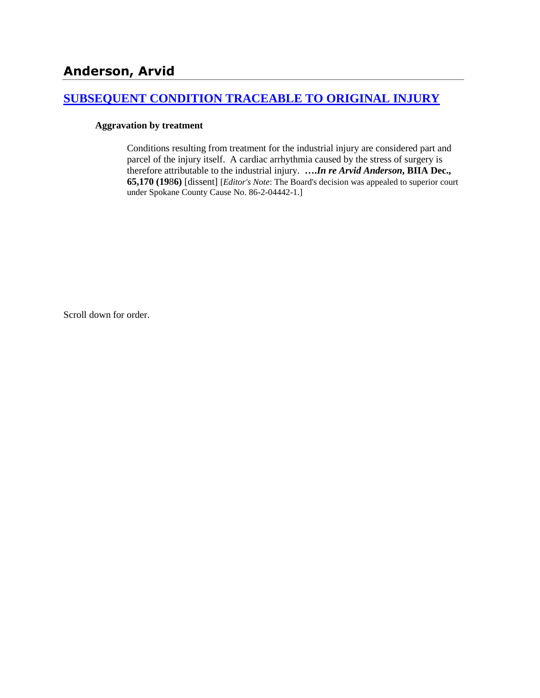# **[SUBSEQUENT CONDITION TRACEABLE TO ORIGINAL INJURY](http://www.biia.wa.gov/SDSubjectIndex.html#SUBSEQUENT_CONDITION_TRACEABLE_TO_ORIGINAL_INJURY)**

#### **Aggravation by treatment**

Conditions resulting from treatment for the industrial injury are considered part and parcel of the injury itself. A cardiac arrhythmia caused by the stress of surgery is therefore attributable to the industrial injury. **….***In re Arvid Anderson***, BIIA Dec., 65,170 (19**8**6)** [dissent] [*Editor's Note*: The Board's decision was appealed to superior court under Spokane County Cause No. 86-2-04442-1.]

Scroll down for order.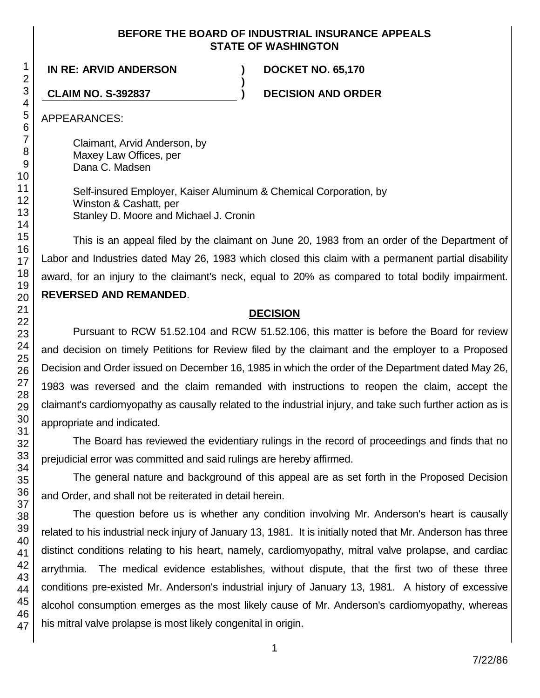## **BEFORE THE BOARD OF INDUSTRIAL INSURANCE APPEALS STATE OF WASHINGTON**

**IN RE: ARVID ANDERSON ) DOCKET NO. 65,170**

**CLAIM NO. S-392837 ) DECISION AND ORDER**

APPEARANCES:

Claimant, Arvid Anderson, by Maxey Law Offices, per Dana C. Madsen

Self-insured Employer, Kaiser Aluminum & Chemical Corporation, by Winston & Cashatt, per Stanley D. Moore and Michael J. Cronin

**)**

This is an appeal filed by the claimant on June 20, 1983 from an order of the Department of Labor and Industries dated May 26, 1983 which closed this claim with a permanent partial disability award, for an injury to the claimant's neck, equal to 20% as compared to total bodily impairment. **REVERSED AND REMANDED**.

## **DECISION**

Pursuant to RCW 51.52.104 and RCW 51.52.106, this matter is before the Board for review and decision on timely Petitions for Review filed by the claimant and the employer to a Proposed Decision and Order issued on December 16, 1985 in which the order of the Department dated May 26, 1983 was reversed and the claim remanded with instructions to reopen the claim, accept the claimant's cardiomyopathy as causally related to the industrial injury, and take such further action as is appropriate and indicated.

The Board has reviewed the evidentiary rulings in the record of proceedings and finds that no prejudicial error was committed and said rulings are hereby affirmed.

The general nature and background of this appeal are as set forth in the Proposed Decision and Order, and shall not be reiterated in detail herein.

The question before us is whether any condition involving Mr. Anderson's heart is causally related to his industrial neck injury of January 13, 1981. It is initially noted that Mr. Anderson has three distinct conditions relating to his heart, namely, cardiomyopathy, mitral valve prolapse, and cardiac arrythmia. The medical evidence establishes, without dispute, that the first two of these three conditions pre-existed Mr. Anderson's industrial injury of January 13, 1981. A history of excessive alcohol consumption emerges as the most likely cause of Mr. Anderson's cardiomyopathy, whereas his mitral valve prolapse is most likely congenital in origin.

47

1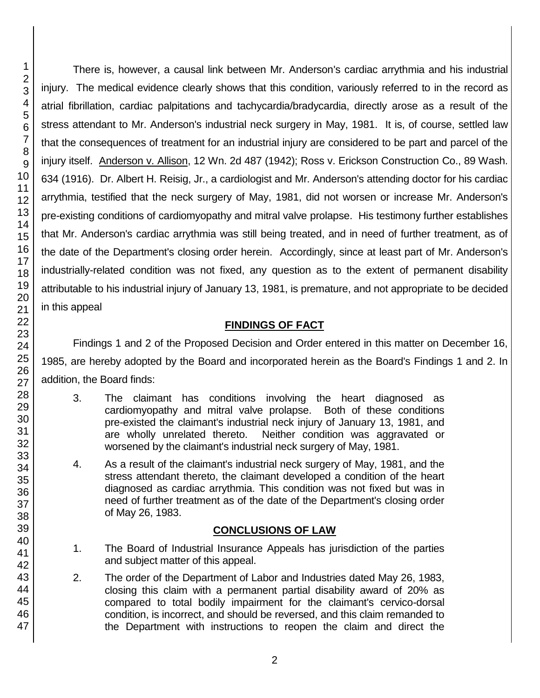There is, however, a causal link between Mr. Anderson's cardiac arrythmia and his industrial injury. The medical evidence clearly shows that this condition, variously referred to in the record as atrial fibrillation, cardiac palpitations and tachycardia/bradycardia, directly arose as a result of the stress attendant to Mr. Anderson's industrial neck surgery in May, 1981. It is, of course, settled law that the consequences of treatment for an industrial injury are considered to be part and parcel of the injury itself. Anderson v. Allison, 12 Wn. 2d 487 (1942); Ross v. Erickson Construction Co., 89 Wash. 634 (1916). Dr. Albert H. Reisig, Jr., a cardiologist and Mr. Anderson's attending doctor for his cardiac arrythmia, testified that the neck surgery of May, 1981, did not worsen or increase Mr. Anderson's pre-existing conditions of cardiomyopathy and mitral valve prolapse. His testimony further establishes that Mr. Anderson's cardiac arrythmia was still being treated, and in need of further treatment, as of the date of the Department's closing order herein. Accordingly, since at least part of Mr. Anderson's industrially-related condition was not fixed, any question as to the extent of permanent disability attributable to his industrial injury of January 13, 1981, is premature, and not appropriate to be decided in this appeal

## **FINDINGS OF FACT**

Findings 1 and 2 of the Proposed Decision and Order entered in this matter on December 16, 1985, are hereby adopted by the Board and incorporated herein as the Board's Findings 1 and 2. In addition, the Board finds:

- 3. The claimant has conditions involving the heart diagnosed as cardiomyopathy and mitral valve prolapse. Both of these conditions pre-existed the claimant's industrial neck injury of January 13, 1981, and are wholly unrelated thereto. Neither condition was aggravated or worsened by the claimant's industrial neck surgery of May, 1981.
- 4. As a result of the claimant's industrial neck surgery of May, 1981, and the stress attendant thereto, the claimant developed a condition of the heart diagnosed as cardiac arrythmia. This condition was not fixed but was in need of further treatment as of the date of the Department's closing order of May 26, 1983.

## **CONCLUSIONS OF LAW**

- 1. The Board of Industrial Insurance Appeals has jurisdiction of the parties and subject matter of this appeal.
- 2. The order of the Department of Labor and Industries dated May 26, 1983, closing this claim with a permanent partial disability award of 20% as compared to total bodily impairment for the claimant's cervico-dorsal condition, is incorrect, and should be reversed, and this claim remanded to the Department with instructions to reopen the claim and direct the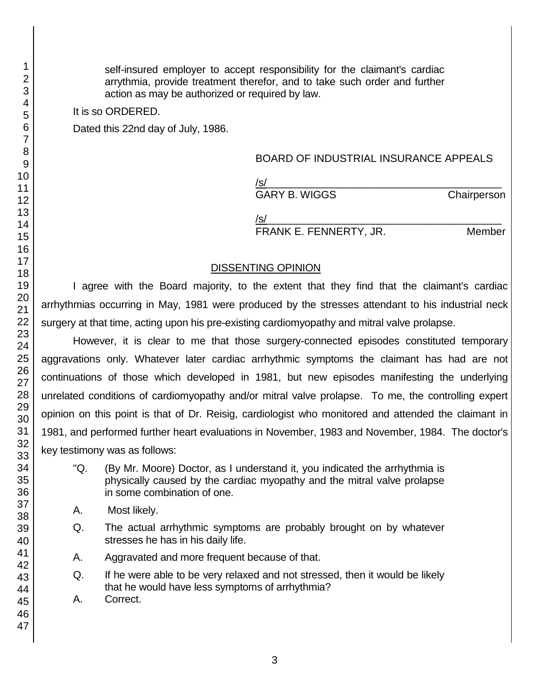self-insured employer to accept responsibility for the claimant's cardiac arrythmia, provide treatment therefor, and to take such order and further action as may be authorized or required by law.

It is so ORDERED.

Dated this 22nd day of July, 1986.

#### BOARD OF INDUSTRIAL INSURANCE APPEALS

/s/\_\_\_\_\_\_\_\_\_\_\_\_\_\_\_\_\_\_\_\_\_\_\_\_\_\_\_\_\_\_\_\_\_\_\_\_\_\_\_\_ GARY B. WIGGS Chairperson

/s/\_\_\_\_\_\_\_\_\_\_\_\_\_\_\_\_\_\_\_\_\_\_\_\_\_\_\_\_\_\_\_\_\_\_\_\_\_\_\_\_

FRANK E. FENNERTY, JR. Member

### DISSENTING OPINION

I agree with the Board majority, to the extent that they find that the claimant's cardiac arrhythmias occurring in May, 1981 were produced by the stresses attendant to his industrial neck surgery at that time, acting upon his pre-existing cardiomyopathy and mitral valve prolapse.

However, it is clear to me that those surgery-connected episodes constituted temporary aggravations only. Whatever later cardiac arrhythmic symptoms the claimant has had are not continuations of those which developed in 1981, but new episodes manifesting the underlying unrelated conditions of cardiomyopathy and/or mitral valve prolapse. To me, the controlling expert opinion on this point is that of Dr. Reisig, cardiologist who monitored and attended the claimant in 1981, and performed further heart evaluations in November, 1983 and November, 1984. The doctor's key testimony was as follows:

- "Q. (By Mr. Moore) Doctor, as I understand it, you indicated the arrhythmia is physically caused by the cardiac myopathy and the mitral valve prolapse in some combination of one.
- A. Most likely.
- Q. The actual arrhythmic symptoms are probably brought on by whatever stresses he has in his daily life.
- A. Aggravated and more frequent because of that.
- Q. If he were able to be very relaxed and not stressed, then it would be likely that he would have less symptoms of arrhythmia?
- A. Correct.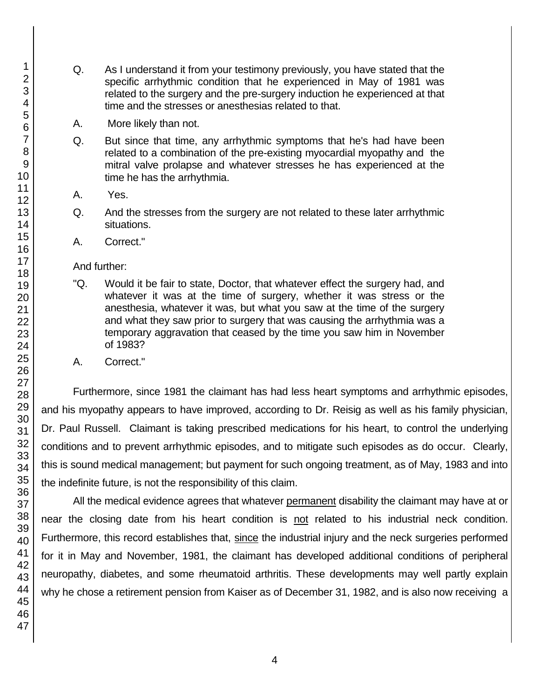- Q. As I understand it from your testimony previously, you have stated that the specific arrhythmic condition that he experienced in May of 1981 was related to the surgery and the pre-surgery induction he experienced at that time and the stresses or anesthesias related to that.
- A. More likely than not.
- Q. But since that time, any arrhythmic symptoms that he's had have been related to a combination of the pre-existing myocardial myopathy and the mitral valve prolapse and whatever stresses he has experienced at the time he has the arrhythmia.
- A. Yes.
- Q. And the stresses from the surgery are not related to these later arrhythmic situations.
- A. Correct."

#### And further:

- "Q. Would it be fair to state, Doctor, that whatever effect the surgery had, and whatever it was at the time of surgery, whether it was stress or the anesthesia, whatever it was, but what you saw at the time of the surgery and what they saw prior to surgery that was causing the arrhythmia was a temporary aggravation that ceased by the time you saw him in November of 1983?
- A. Correct."

Furthermore, since 1981 the claimant has had less heart symptoms and arrhythmic episodes, and his myopathy appears to have improved, according to Dr. Reisig as well as his family physician, Dr. Paul Russell. Claimant is taking prescribed medications for his heart, to control the underlying conditions and to prevent arrhythmic episodes, and to mitigate such episodes as do occur. Clearly, this is sound medical management; but payment for such ongoing treatment, as of May, 1983 and into the indefinite future, is not the responsibility of this claim.

All the medical evidence agrees that whatever permanent disability the claimant may have at or near the closing date from his heart condition is not related to his industrial neck condition. Furthermore, this record establishes that, since the industrial injury and the neck surgeries performed for it in May and November, 1981, the claimant has developed additional conditions of peripheral neuropathy, diabetes, and some rheumatoid arthritis. These developments may well partly explain why he chose a retirement pension from Kaiser as of December 31, 1982, and is also now receiving a